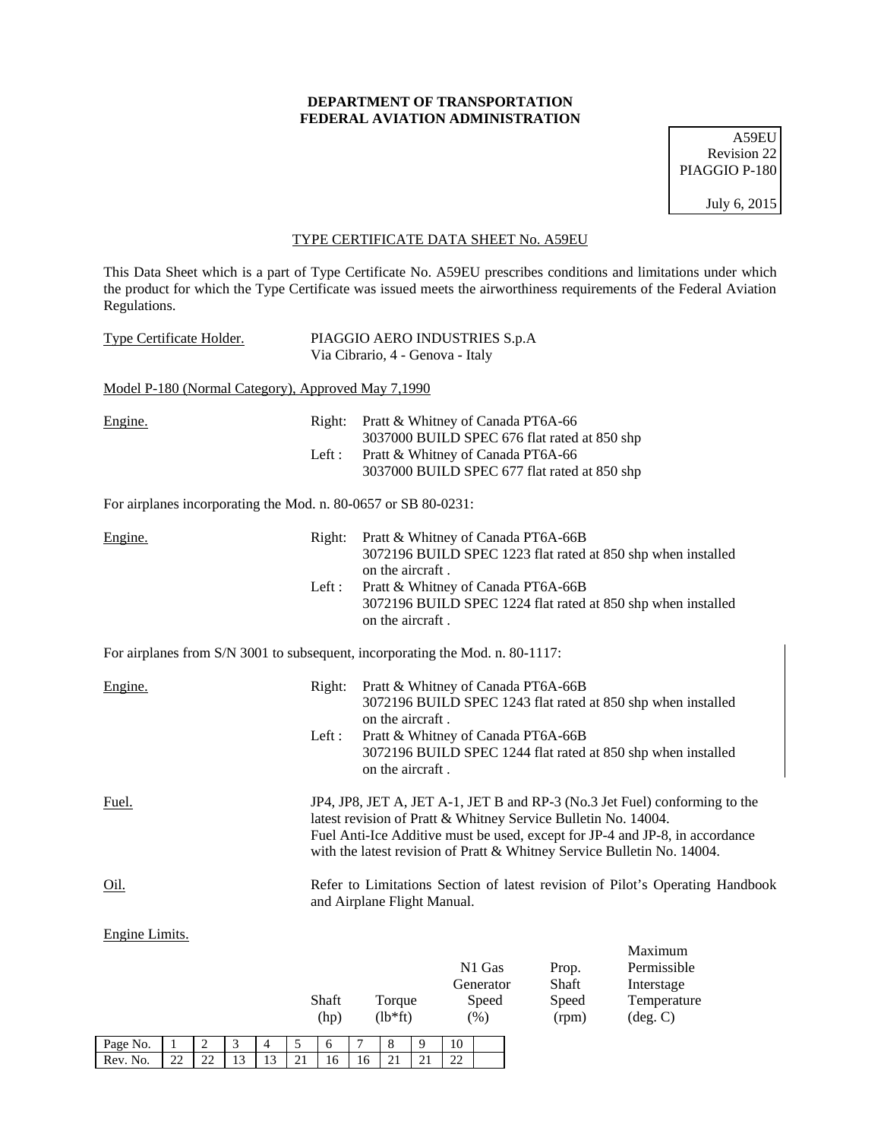## **DEPARTMENT OF TRANSPORTATION FEDERAL AVIATION ADMINISTRATION**

A59EU Revision 22 PIAGGIO P-180

July 6, 2015

## TYPE CERTIFICATE DATA SHEET No. A59EU

This Data Sheet which is a part of Type Certificate No. A59EU prescribes conditions and limitations under which the product for which the Type Certificate was issued meets the airworthiness requirements of the Federal Aviation Regulations.

| <b>Type Certificate Holder.</b>                                               |                 | PIAGGIO AERO INDUSTRIES S.p.A<br>Via Cibrario, 4 - Genova - Italy |                                                                                                                        |                |                                                                                                                                                                                                                                       |
|-------------------------------------------------------------------------------|-----------------|-------------------------------------------------------------------|------------------------------------------------------------------------------------------------------------------------|----------------|---------------------------------------------------------------------------------------------------------------------------------------------------------------------------------------------------------------------------------------|
| Model P-180 (Normal Category), Approved May 7,1990                            |                 |                                                                   |                                                                                                                        |                |                                                                                                                                                                                                                                       |
| Engine.                                                                       | Right:<br>Left: |                                                                   | Pratt & Whitney of Canada PT6A-66<br>3037000 BUILD SPEC 676 flat rated at 850 shp<br>Pratt & Whitney of Canada PT6A-66 |                |                                                                                                                                                                                                                                       |
|                                                                               |                 |                                                                   | 3037000 BUILD SPEC 677 flat rated at 850 shp                                                                           |                |                                                                                                                                                                                                                                       |
| For airplanes incorporating the Mod. n. 80-0657 or SB 80-0231:                |                 |                                                                   |                                                                                                                        |                |                                                                                                                                                                                                                                       |
| Engine.                                                                       |                 | Right: Pratt & Whitney of Canada PT6A-66B<br>on the aircraft.     |                                                                                                                        |                | 3072196 BUILD SPEC 1223 flat rated at 850 shp when installed                                                                                                                                                                          |
|                                                                               | Left:           | on the aircraft.                                                  | Pratt & Whitney of Canada PT6A-66B                                                                                     |                | 3072196 BUILD SPEC 1224 flat rated at 850 shp when installed                                                                                                                                                                          |
| For airplanes from S/N 3001 to subsequent, incorporating the Mod. n. 80-1117: |                 |                                                                   |                                                                                                                        |                |                                                                                                                                                                                                                                       |
| Engine.                                                                       |                 | Right: Pratt & Whitney of Canada PT6A-66B<br>on the aircraft.     |                                                                                                                        |                | 3072196 BUILD SPEC 1243 flat rated at 850 shp when installed                                                                                                                                                                          |
|                                                                               | Left:           | on the aircraft.                                                  | Pratt & Whitney of Canada PT6A-66B                                                                                     |                | 3072196 BUILD SPEC 1244 flat rated at 850 shp when installed                                                                                                                                                                          |
| Fuel.                                                                         |                 | latest revision of Pratt & Whitney Service Bulletin No. 14004.    |                                                                                                                        |                | JP4, JP8, JET A, JET A-1, JET B and RP-3 (No.3 Jet Fuel) conforming to the<br>Fuel Anti-Ice Additive must be used, except for JP-4 and JP-8, in accordance<br>with the latest revision of Pratt & Whitney Service Bulletin No. 14004. |
| Oil.                                                                          |                 | and Airplane Flight Manual.                                       |                                                                                                                        |                | Refer to Limitations Section of latest revision of Pilot's Operating Handbook                                                                                                                                                         |
| Engine Limits.                                                                |                 |                                                                   |                                                                                                                        |                | Maximum                                                                                                                                                                                                                               |
|                                                                               |                 |                                                                   | N1 Gas                                                                                                                 | Prop.          | Permissible                                                                                                                                                                                                                           |
|                                                                               | Shaft           | Torque                                                            | Generator<br>Speed                                                                                                     | Shaft<br>Speed | Interstage<br>Temperature                                                                                                                                                                                                             |
|                                                                               | (hp)            | $(lb*ft)$                                                         | $(\%)$                                                                                                                 | (rpm)          | $(\text{deg. C})$                                                                                                                                                                                                                     |

Page No. | 1 | 2 | 3 | 4 | 5 | 6 | 7 | 8 | 9 | 10 Rev. No. 22 22 13 13 21 16 16 21 21 22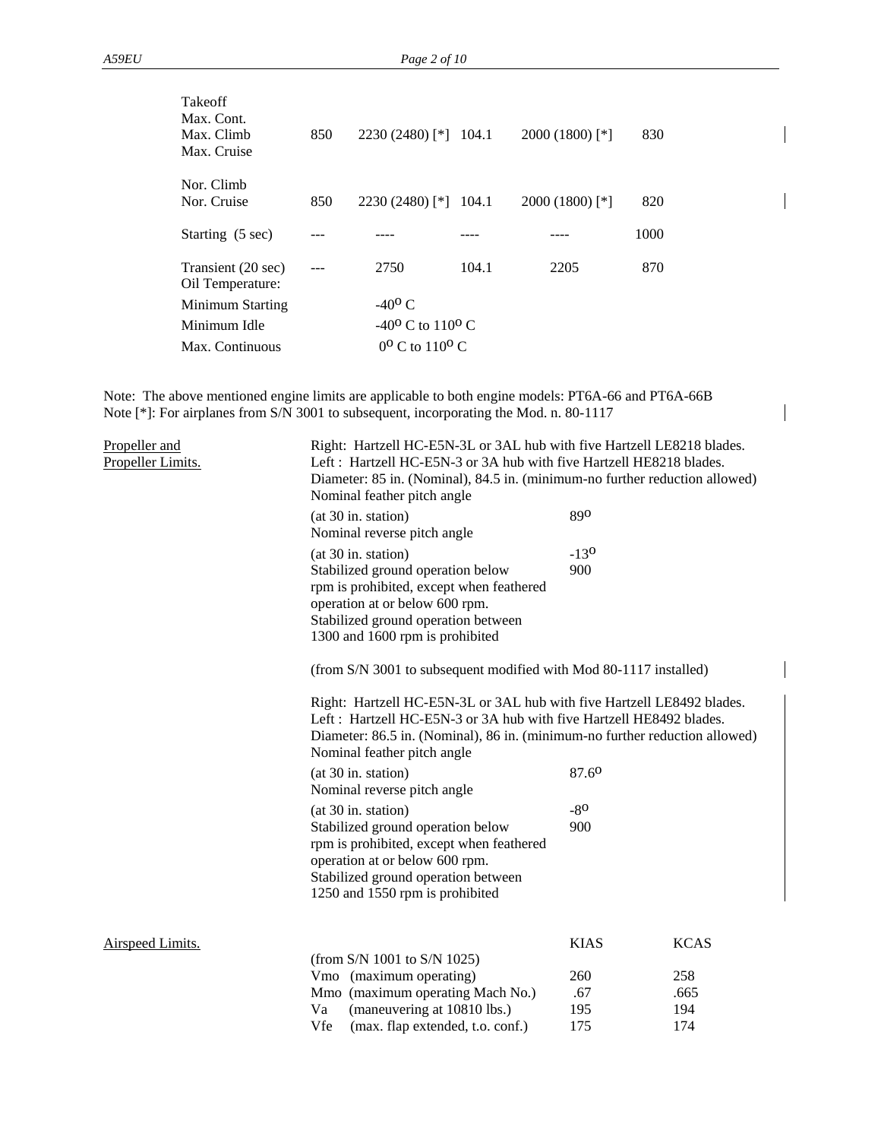| <b>Takeoff</b><br>Max. Cont.<br>Max. Climb<br>Max. Cruise | 850 | $2230(2480)$ [*]                      | 104.1 | $2000(1800)$ [*] | 830  |  |
|-----------------------------------------------------------|-----|---------------------------------------|-------|------------------|------|--|
| Nor. Climb<br>Nor. Cruise                                 | 850 | $2230(2480)$ [*]                      | 104.1 | $2000(1800)$ [*] | 820  |  |
| Starting (5 sec)                                          |     |                                       |       |                  | 1000 |  |
| Transient (20 sec)<br>Oil Temperature:                    |     | 2750                                  | 104.1 | 2205             | 870  |  |
| Minimum Starting                                          |     | $-40^{\circ}$ C                       |       |                  |      |  |
| Minimum Idle                                              |     | $-40^{\circ}$ C to 110 <sup>o</sup> C |       |                  |      |  |
| Max. Continuous                                           |     | $0^{\rm o}$ C to $110^{\rm o}$ C      |       |                  |      |  |

Note: The above mentioned engine limits are applicable to both engine models: PT6A-66 and PT6A-66B Note [\*]: For airplanes from S/N 3001 to subsequent, incorporating the Mod. n. 80-1117

| Propeller and<br>Propeller Limits. | Right: Hartzell HC-E5N-3L or 3AL hub with five Hartzell LE8218 blades.<br>Left: Hartzell HC-E5N-3 or 3A hub with five Hartzell HE8218 blades.<br>Diameter: 85 in. (Nominal), 84.5 in. (minimum-no further reduction allowed)<br>Nominal feather pitch angle |                                                                   |                    |  |  |  |
|------------------------------------|-------------------------------------------------------------------------------------------------------------------------------------------------------------------------------------------------------------------------------------------------------------|-------------------------------------------------------------------|--------------------|--|--|--|
|                                    | (at 30 in. station)<br>Nominal reverse pitch angle                                                                                                                                                                                                          | 890                                                               |                    |  |  |  |
|                                    | (at 30 in. station)<br>Stabilized ground operation below<br>rpm is prohibited, except when feathered<br>operation at or below 600 rpm.<br>Stabilized ground operation between<br>1300 and 1600 rpm is prohibited                                            | $-13o$<br>900                                                     |                    |  |  |  |
|                                    |                                                                                                                                                                                                                                                             | (from S/N 3001 to subsequent modified with Mod 80-1117 installed) |                    |  |  |  |
|                                    | Right: Hartzell HC-E5N-3L or 3AL hub with five Hartzell LE8492 blades.<br>Left: Hartzell HC-E5N-3 or 3A hub with five Hartzell HE8492 blades.<br>Diameter: 86.5 in. (Nominal), 86 in. (minimum-no further reduction allowed)<br>Nominal feather pitch angle |                                                                   |                    |  |  |  |
|                                    | (at 30 in. station)<br>Nominal reverse pitch angle                                                                                                                                                                                                          | 87.60                                                             |                    |  |  |  |
|                                    | (at 30 in. station)<br>Stabilized ground operation below<br>rpm is prohibited, except when feathered<br>operation at or below 600 rpm.<br>Stabilized ground operation between<br>1250 and 1550 rpm is prohibited                                            | $-80$<br>900                                                      |                    |  |  |  |
| Airspeed Limits.                   |                                                                                                                                                                                                                                                             | <b>KIAS</b>                                                       | <b>KCAS</b>        |  |  |  |
|                                    | (from S/N 1001 to S/N 1025)<br>Vmo (maximum operating)<br>Mmo (maximum operating Mach No.)<br>(maneuvering at 10810 lbs.)<br>Va                                                                                                                             | 260<br>.67<br>195                                                 | 258<br>.665<br>194 |  |  |  |
|                                    | Vfe<br>(max. flap extended, t.o. conf.)                                                                                                                                                                                                                     | 175                                                               | 174                |  |  |  |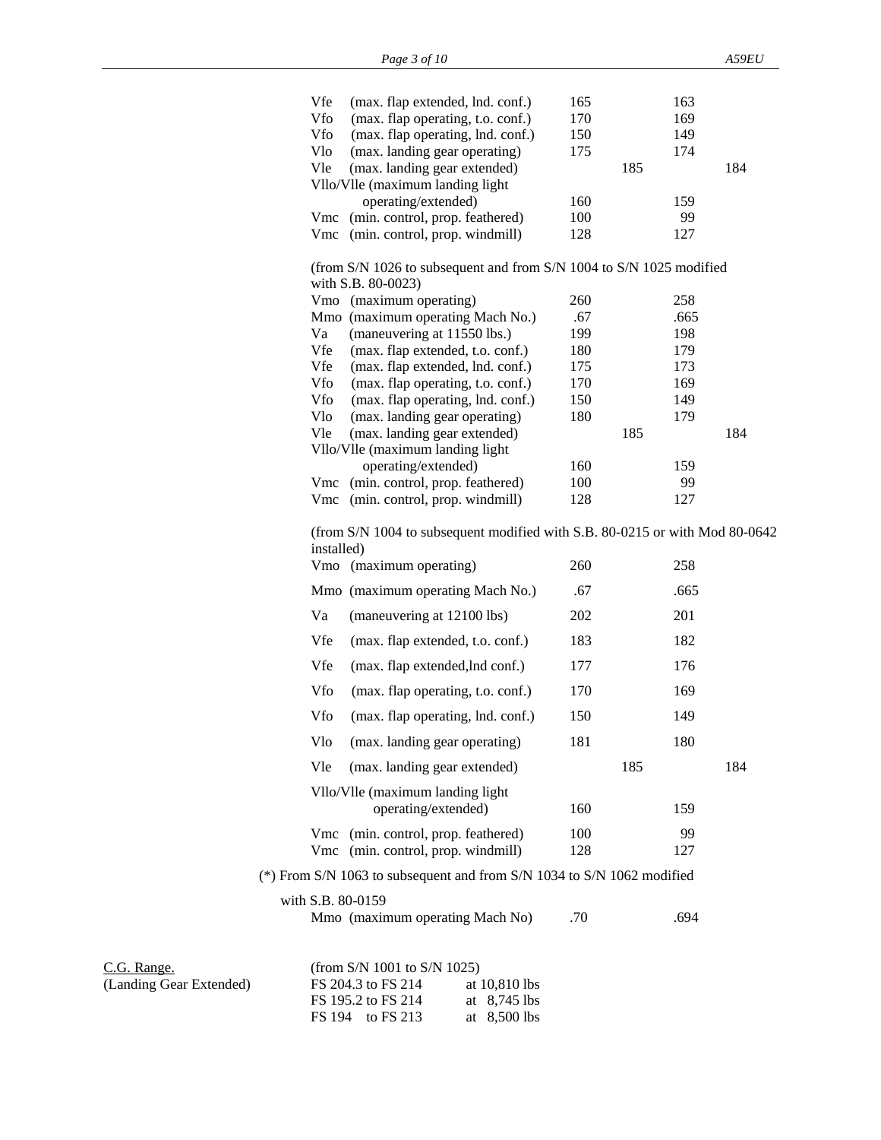|                                        | Vfe               | (max. flap extended, lnd. conf.)                                            | 165 |     | 163  |     |
|----------------------------------------|-------------------|-----------------------------------------------------------------------------|-----|-----|------|-----|
|                                        | Vfo               | (max. flap operating, t.o. conf.)                                           | 170 |     | 169  |     |
|                                        | Vfo               | (max. flap operating, lnd. conf.)                                           | 150 |     | 149  |     |
|                                        | Vlo               | (max. landing gear operating)                                               | 175 |     | 174  |     |
|                                        | Vle               | (max. landing gear extended)                                                |     | 185 |      | 184 |
|                                        |                   | Vllo/Vlle (maximum landing light                                            |     |     |      |     |
|                                        |                   | operating/extended)                                                         | 160 |     | 159  |     |
|                                        |                   | Vmc (min. control, prop. feathered)                                         | 100 |     | 99   |     |
|                                        |                   | Vmc (min. control, prop. windmill)                                          | 128 |     | 127  |     |
|                                        |                   | (from S/N 1026 to subsequent and from S/N 1004 to S/N 1025 modified         |     |     |      |     |
|                                        |                   | with S.B. 80-0023)<br>Vmo (maximum operating)                               | 260 |     | 258  |     |
|                                        |                   | Mmo (maximum operating Mach No.)                                            | .67 |     | .665 |     |
|                                        | Va                | (maneuvering at 11550 lbs.)                                                 | 199 |     | 198  |     |
|                                        | Vfe               | (max. flap extended, t.o. conf.)                                            | 180 |     | 179  |     |
|                                        | Vfe               | (max. flap extended, lnd. conf.)                                            | 175 |     | 173  |     |
|                                        | Vfo               | (max. flap operating, t.o. conf.)                                           | 170 |     | 169  |     |
|                                        | Vfo               | (max. flap operating, lnd. conf.)                                           | 150 |     | 149  |     |
|                                        | Vlo               | (max. landing gear operating)                                               | 180 |     | 179  |     |
|                                        | Vle               | (max. landing gear extended)                                                |     | 185 |      | 184 |
|                                        |                   | Vllo/Vlle (maximum landing light                                            |     |     |      |     |
|                                        |                   | operating/extended)                                                         | 160 |     | 159  |     |
|                                        |                   | Vmc (min. control, prop. feathered)                                         | 100 |     | 99   |     |
|                                        |                   | Vmc (min. control, prop. windmill)                                          | 128 |     | 127  |     |
|                                        | installed)        | (from S/N 1004 to subsequent modified with S.B. 80-0215 or with Mod 80-0642 |     |     |      |     |
|                                        |                   | Vmo (maximum operating)                                                     | 260 |     | 258  |     |
|                                        |                   | Mmo (maximum operating Mach No.)                                            | .67 |     | .665 |     |
|                                        | Va                | (maneuvering at 12100 lbs)                                                  | 202 |     | 201  |     |
|                                        | Vfe               | (max. flap extended, t.o. conf.)                                            | 183 |     | 182  |     |
|                                        | Vfe               | (max. flap extended, lnd conf.)                                             | 177 |     | 176  |     |
|                                        | Vfo               | (max. flap operating, t.o. conf.)                                           | 170 |     | 169  |     |
|                                        | Vfo               | (max. flap operating, lnd. conf.)                                           | 150 |     | 149  |     |
|                                        |                   | Vlo (max. landing gear operating)                                           | 181 |     | 180  |     |
|                                        | Vle               | (max. landing gear extended)                                                |     | 185 |      | 184 |
|                                        |                   | Vllo/Vlle (maximum landing light                                            |     |     |      |     |
|                                        |                   | operating/extended)                                                         | 160 |     | 159  |     |
|                                        |                   | Vmc (min. control, prop. feathered)                                         | 100 |     | 99   |     |
|                                        |                   | Vmc (min. control, prop. windmill)                                          | 128 |     | 127  |     |
|                                        |                   | (*) From S/N 1063 to subsequent and from S/N 1034 to S/N 1062 modified      |     |     |      |     |
|                                        | with S.B. 80-0159 |                                                                             |     |     |      |     |
|                                        |                   | Mmo (maximum operating Mach No)                                             | .70 |     | .694 |     |
| C.G. Range.<br>(Landing Gear Extended) |                   | (from S/N 1001 to S/N 1025)<br>$FS$ 204 3 to $FS$ 214 at 10 810 lbs         |     |     |      |     |

| $\sim$ . Kange.         | $(110111 \text{ m})$ 1001 to b/11 1023/ |                |
|-------------------------|-----------------------------------------|----------------|
| (Landing Gear Extended) | FS 204.3 to FS 214                      | at 10,810 lbs  |
|                         | FS 195.2 to FS 214                      | at $8.745$ lbs |
|                         | FS 194 to FS 213                        | at $8.500$ lbs |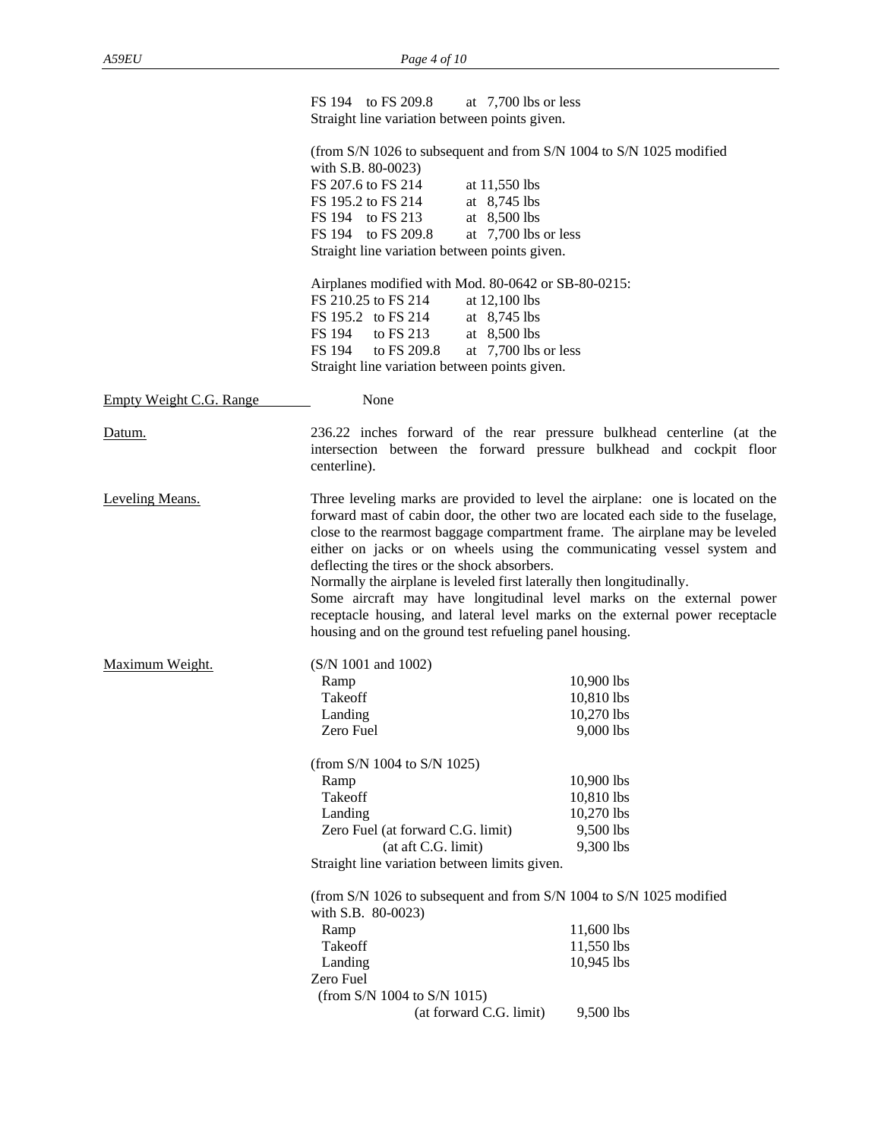|                         | FS 194 to FS 209.8<br>at $7,700$ lbs or less<br>Straight line variation between points given.                                                                                                                                                                                                                                                                                                                                                                                                                                                                                                                                                                             |                                                                                                                         |
|-------------------------|---------------------------------------------------------------------------------------------------------------------------------------------------------------------------------------------------------------------------------------------------------------------------------------------------------------------------------------------------------------------------------------------------------------------------------------------------------------------------------------------------------------------------------------------------------------------------------------------------------------------------------------------------------------------------|-------------------------------------------------------------------------------------------------------------------------|
|                         | (from S/N 1026 to subsequent and from S/N 1004 to S/N 1025 modified<br>with S.B. 80-0023)<br>FS 207.6 to FS 214<br>at 11,550 lbs<br>at 8,745 lbs<br>FS 195.2 to FS 214<br>at 8,500 lbs<br>FS 194 to FS 213<br>FS 194 to FS 209.8<br>at 7,700 lbs or less<br>Straight line variation between points given.                                                                                                                                                                                                                                                                                                                                                                 |                                                                                                                         |
|                         | Airplanes modified with Mod. 80-0642 or SB-80-0215:<br>FS 210.25 to FS 214<br>at $12,100$ lbs<br>FS 195.2 to FS 214<br>at $8,745$ lbs<br>FS 194<br>to FS 213<br>at 8,500 lbs<br>FS 194 to FS 209.8<br>at $7,700$ lbs or less<br>Straight line variation between points given.                                                                                                                                                                                                                                                                                                                                                                                             |                                                                                                                         |
| Empty Weight C.G. Range | None                                                                                                                                                                                                                                                                                                                                                                                                                                                                                                                                                                                                                                                                      |                                                                                                                         |
| Datum.                  | 236.22 inches forward of the rear pressure bulkhead centerline (at the<br>intersection between the forward pressure bulkhead and cockpit floor<br>centerline).                                                                                                                                                                                                                                                                                                                                                                                                                                                                                                            |                                                                                                                         |
| Leveling Means.         | Three leveling marks are provided to level the airplane: one is located on the<br>forward mast of cabin door, the other two are located each side to the fuselage,<br>close to the rearmost baggage compartment frame. The airplane may be leveled<br>either on jacks or on wheels using the communicating vessel system and<br>deflecting the tires or the shock absorbers.<br>Normally the airplane is leveled first laterally then longitudinally.<br>Some aircraft may have longitudinal level marks on the external power<br>receptacle housing, and lateral level marks on the external power receptacle<br>housing and on the ground test refueling panel housing. |                                                                                                                         |
| Maximum Weight.         | $(S/N 1001$ and $1002)$<br>Ramp<br>Takeoff<br>Landing<br>Zero Fuel<br>(from S/N 1004 to S/N 1025)<br>Ramp<br>Takeoff<br>Landing<br>Zero Fuel (at forward C.G. limit)<br>(at aft C.G. limit)<br>Straight line variation between limits given.                                                                                                                                                                                                                                                                                                                                                                                                                              | 10,900 lbs<br>10,810 lbs<br>10,270 lbs<br>9,000 lbs<br>10,900 lbs<br>10,810 lbs<br>10,270 lbs<br>9,500 lbs<br>9,300 lbs |
|                         | (from S/N 1026 to subsequent and from S/N 1004 to S/N 1025 modified<br>with S.B. 80-0023)<br>Ramp<br>Takeoff<br>Landing<br>Zero Fuel<br>(from S/N 1004 to S/N 1015)<br>(at forward C.G. limit)                                                                                                                                                                                                                                                                                                                                                                                                                                                                            | 11,600 lbs<br>11,550 lbs<br>10,945 lbs<br>9,500 lbs                                                                     |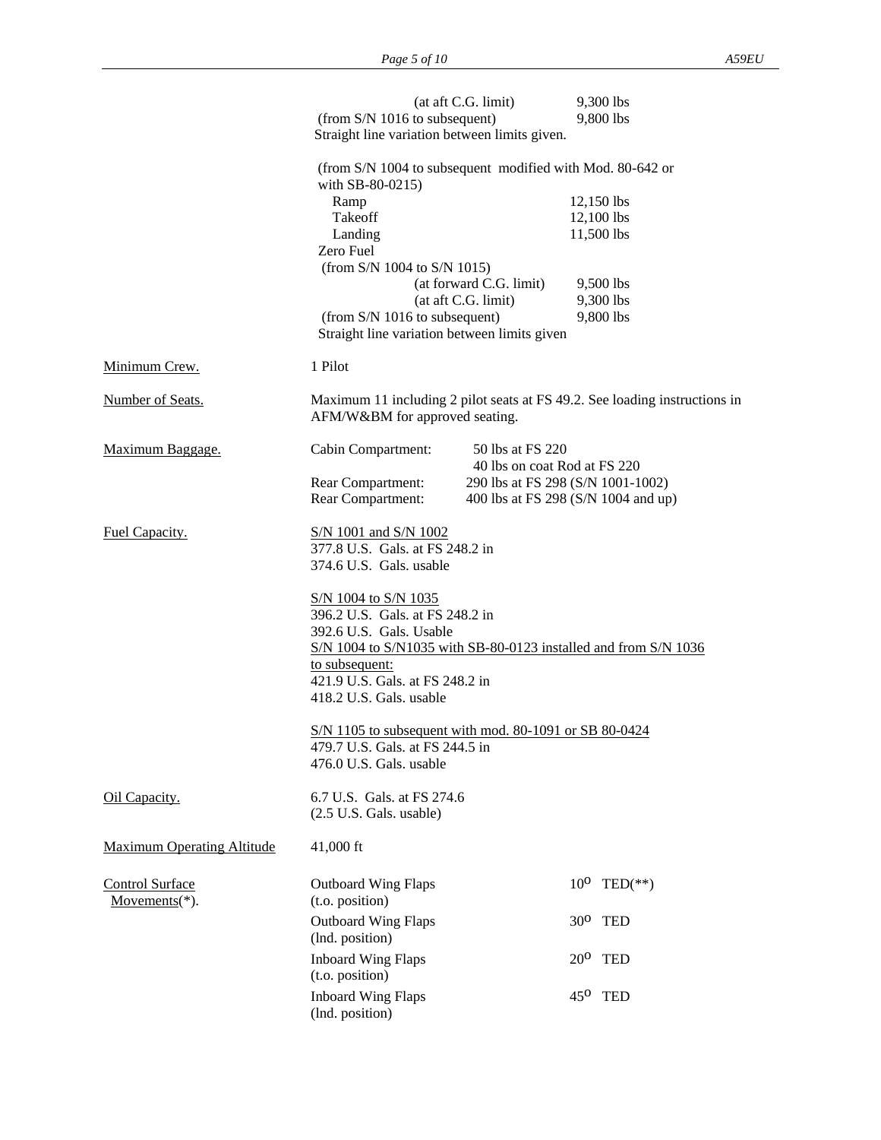|                                             | (at aft C.G. limit)<br>(from S/N 1016 to subsequent)<br>Straight line variation between limits given.                                                                                                      | 9,300 lbs<br>9,800 lbs                                                   |
|---------------------------------------------|------------------------------------------------------------------------------------------------------------------------------------------------------------------------------------------------------------|--------------------------------------------------------------------------|
|                                             | (from S/N 1004 to subsequent modified with Mod. 80-642 or<br>with SB-80-0215)                                                                                                                              |                                                                          |
|                                             | Ramp<br>Takeoff                                                                                                                                                                                            | 12,150 lbs<br>12,100 lbs                                                 |
|                                             | Landing<br>Zero Fuel                                                                                                                                                                                       | 11,500 lbs                                                               |
|                                             | (from S/N 1004 to S/N 1015)                                                                                                                                                                                |                                                                          |
|                                             | (at forward C.G. limit)<br>(at aft C.G. limit)                                                                                                                                                             | 9,500 lbs<br>9,300 lbs                                                   |
|                                             | (from S/N 1016 to subsequent)<br>Straight line variation between limits given                                                                                                                              | 9,800 lbs                                                                |
| Minimum Crew.                               | 1 Pilot                                                                                                                                                                                                    |                                                                          |
| Number of Seats.                            | Maximum 11 including 2 pilot seats at FS 49.2. See loading instructions in<br>AFM/W&BM for approved seating.                                                                                               |                                                                          |
| Maximum Baggage.                            | 50 lbs at FS 220<br>Cabin Compartment:                                                                                                                                                                     | 40 lbs on coat Rod at FS 220                                             |
|                                             | Rear Compartment:<br>Rear Compartment:                                                                                                                                                                     | 290 lbs at FS 298 (S/N 1001-1002)<br>400 lbs at FS 298 (S/N 1004 and up) |
| Fuel Capacity.                              | S/N 1001 and S/N 1002<br>377.8 U.S. Gals. at FS 248.2 in<br>374.6 U.S. Gals. usable                                                                                                                        |                                                                          |
|                                             | S/N 1004 to S/N 1035<br>396.2 U.S. Gals. at FS 248.2 in<br>392.6 U.S. Gals. Usable<br>S/N 1004 to S/N1035 with SB-80-0123 installed and from S/N 1036<br>to subsequent:<br>421.9 U.S. Gals. at FS 248.2 in |                                                                          |
|                                             | 418.2 U.S. Gals. usable                                                                                                                                                                                    |                                                                          |
|                                             | S/N 1105 to subsequent with mod. 80-1091 or SB 80-0424<br>479.7 U.S. Gals. at FS 244.5 in<br>476.0 U.S. Gals. usable                                                                                       |                                                                          |
| Oil Capacity.                               | 6.7 U.S. Gals. at FS 274.6<br>$(2.5 \text{ U.S. } Gals. \text{ usable})$                                                                                                                                   |                                                                          |
| <b>Maximum Operating Altitude</b>           | 41,000 ft                                                                                                                                                                                                  |                                                                          |
| <b>Control Surface</b><br>Movements $(*)$ . | <b>Outboard Wing Flaps</b><br>(t.o. position)                                                                                                                                                              | $10^0$ TED(**)                                                           |
|                                             | <b>Outboard Wing Flaps</b><br>(lnd. position)                                                                                                                                                              | $30^0$ TED                                                               |
|                                             | <b>Inboard Wing Flaps</b><br>(t.o. position)                                                                                                                                                               | $20^0$ TED                                                               |
|                                             | <b>Inboard Wing Flaps</b><br>(lnd. position)                                                                                                                                                               | $45^{\circ}$ TED                                                         |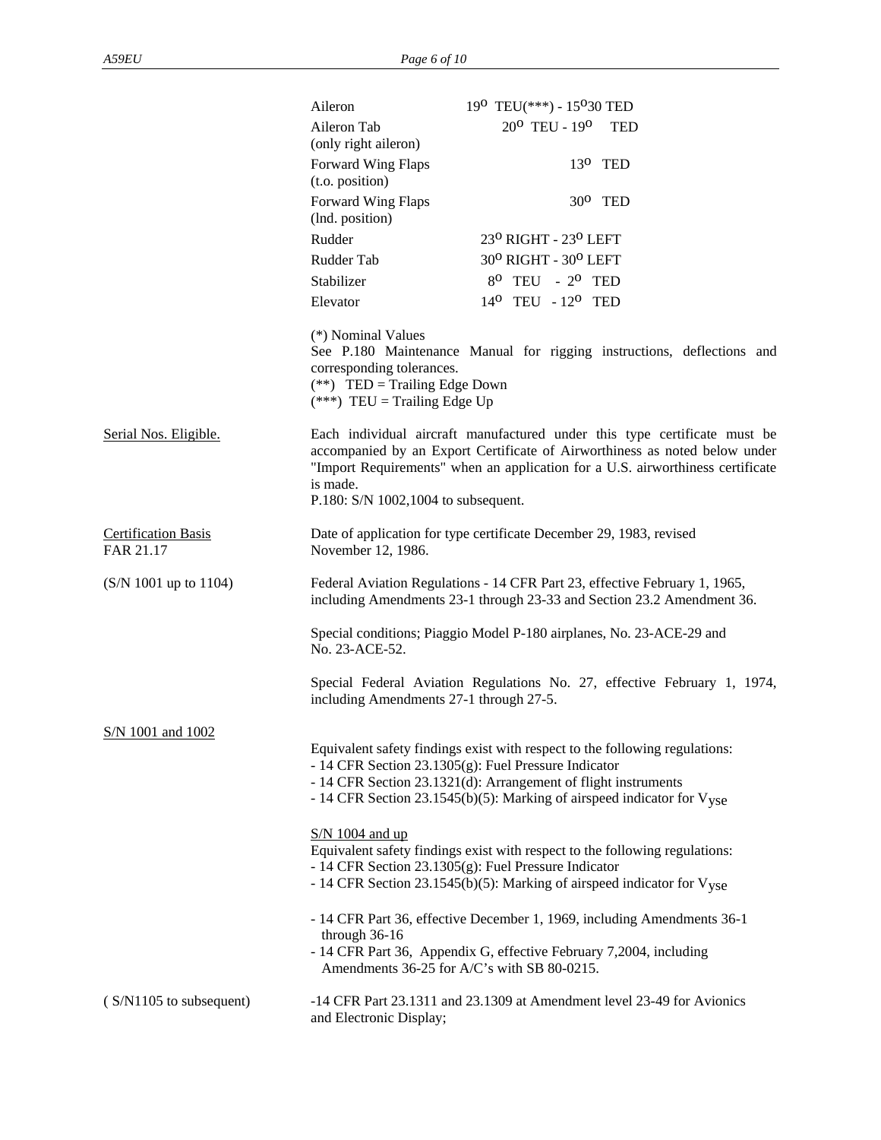|                                         | Aileron                                                                                                                                                                                                                                                                         | 190 TEU(***) - 15030 TED                    |                                                                                                                                                                                                                                           |
|-----------------------------------------|---------------------------------------------------------------------------------------------------------------------------------------------------------------------------------------------------------------------------------------------------------------------------------|---------------------------------------------|-------------------------------------------------------------------------------------------------------------------------------------------------------------------------------------------------------------------------------------------|
|                                         | Aileron Tab<br>(only right aileron)                                                                                                                                                                                                                                             | 20 <sup>0</sup> TEU - 19 <sup>0</sup> TED   |                                                                                                                                                                                                                                           |
|                                         | Forward Wing Flaps<br>(t.o. position)                                                                                                                                                                                                                                           |                                             | $13^{\circ}$ TED                                                                                                                                                                                                                          |
|                                         | Forward Wing Flaps<br>(lnd. position)                                                                                                                                                                                                                                           |                                             | $30^0$ TED                                                                                                                                                                                                                                |
|                                         | Rudder                                                                                                                                                                                                                                                                          | 230 RIGHT - 230 LEFT                        |                                                                                                                                                                                                                                           |
|                                         | Rudder Tab                                                                                                                                                                                                                                                                      | 30° RIGHT - 30° LEFT                        |                                                                                                                                                                                                                                           |
|                                         | Stabilizer                                                                                                                                                                                                                                                                      | $8^{\circ}$ TEU - $2^{\circ}$ TED           |                                                                                                                                                                                                                                           |
|                                         | Elevator                                                                                                                                                                                                                                                                        | 14 <sup>0</sup> TEU - 12 <sup>0</sup> TED   |                                                                                                                                                                                                                                           |
|                                         | (*) Nominal Values<br>corresponding tolerances.<br>$(**)$ TED = Trailing Edge Down<br>$(***)$ TEU = Trailing Edge Up                                                                                                                                                            |                                             | See P.180 Maintenance Manual for rigging instructions, deflections and                                                                                                                                                                    |
| Serial Nos. Eligible.                   | is made.<br>P.180: S/N 1002,1004 to subsequent.                                                                                                                                                                                                                                 |                                             | Each individual aircraft manufactured under this type certificate must be<br>accompanied by an Export Certificate of Airworthiness as noted below under<br>"Import Requirements" when an application for a U.S. airworthiness certificate |
| <b>Certification Basis</b><br>FAR 21.17 | Date of application for type certificate December 29, 1983, revised<br>November 12, 1986.                                                                                                                                                                                       |                                             |                                                                                                                                                                                                                                           |
| $(S/N 1001$ up to 1104)                 |                                                                                                                                                                                                                                                                                 |                                             | Federal Aviation Regulations - 14 CFR Part 23, effective February 1, 1965,<br>including Amendments 23-1 through 23-33 and Section 23.2 Amendment 36.                                                                                      |
|                                         | Special conditions; Piaggio Model P-180 airplanes, No. 23-ACE-29 and<br>No. 23-ACE-52.                                                                                                                                                                                          |                                             |                                                                                                                                                                                                                                           |
|                                         | including Amendments 27-1 through 27-5.                                                                                                                                                                                                                                         |                                             | Special Federal Aviation Regulations No. 27, effective February 1, 1974,                                                                                                                                                                  |
| S/N 1001 and 1002                       | Equivalent safety findings exist with respect to the following regulations:<br>- 14 CFR Section 23.1305(g): Fuel Pressure Indicator<br>- 14 CFR Section 23.1321(d): Arrangement of flight instruments<br>- 14 CFR Section 23.1545(b)(5): Marking of airspeed indicator for Vyse |                                             |                                                                                                                                                                                                                                           |
|                                         | $S/N$ 1004 and up<br>Equivalent safety findings exist with respect to the following regulations:<br>- 14 CFR Section 23.1305(g): Fuel Pressure Indicator<br>- 14 CFR Section 23.1545(b)(5): Marking of airspeed indicator for Vyse                                              |                                             |                                                                                                                                                                                                                                           |
|                                         | through 36-16<br>- 14 CFR Part 36, Appendix G, effective February 7,2004, including                                                                                                                                                                                             | Amendments 36-25 for A/C's with SB 80-0215. | - 14 CFR Part 36, effective December 1, 1969, including Amendments 36-1                                                                                                                                                                   |
| (S/N1105 to subsequent)                 | and Electronic Display;                                                                                                                                                                                                                                                         |                                             | -14 CFR Part 23.1311 and 23.1309 at Amendment level 23-49 for Avionics                                                                                                                                                                    |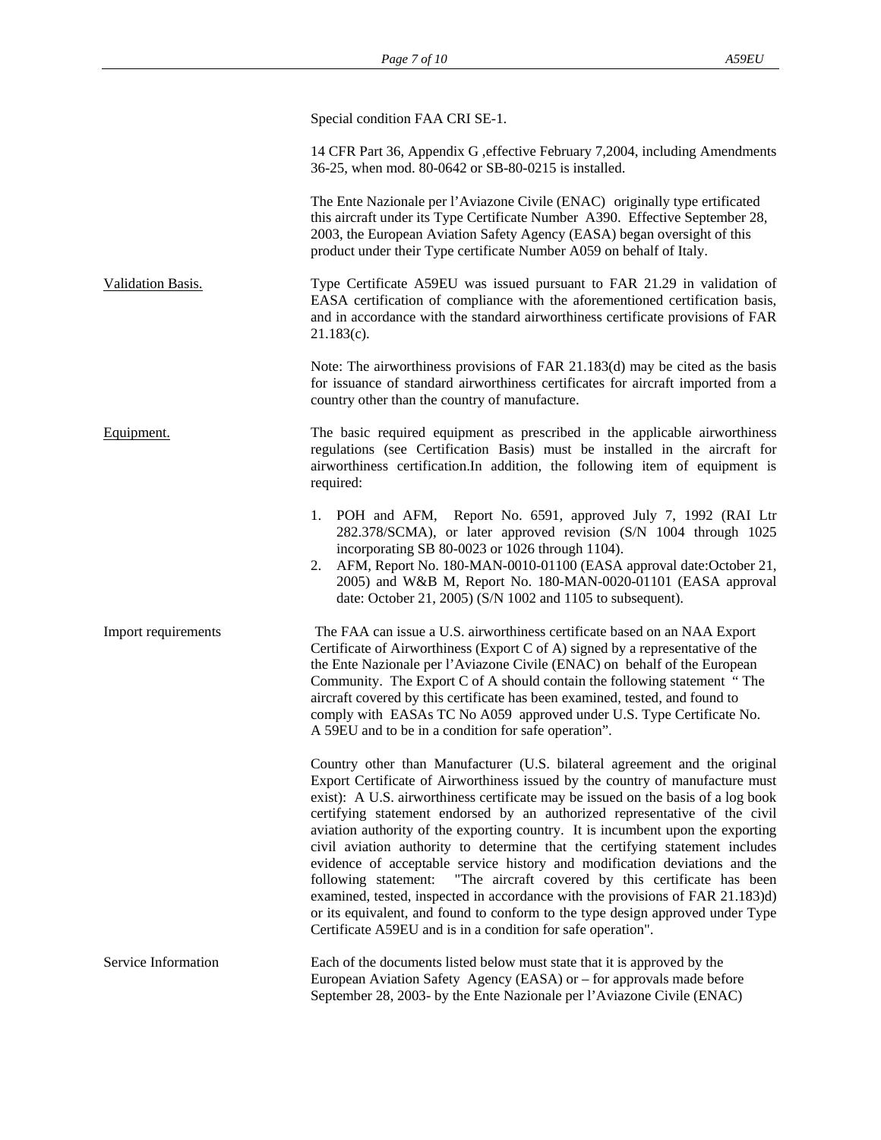|                            | Special condition FAA CRI SE-1.                                                                                                                                                                                                                                                                                                                                                                                                                                                                                                                                                                                                                                                                                                                                                                                                                                                                   |
|----------------------------|---------------------------------------------------------------------------------------------------------------------------------------------------------------------------------------------------------------------------------------------------------------------------------------------------------------------------------------------------------------------------------------------------------------------------------------------------------------------------------------------------------------------------------------------------------------------------------------------------------------------------------------------------------------------------------------------------------------------------------------------------------------------------------------------------------------------------------------------------------------------------------------------------|
|                            | 14 CFR Part 36, Appendix G , effective February 7, 2004, including Amendments<br>36-25, when mod. 80-0642 or SB-80-0215 is installed.                                                                                                                                                                                                                                                                                                                                                                                                                                                                                                                                                                                                                                                                                                                                                             |
|                            | The Ente Nazionale per l'Aviazone Civile (ENAC) originally type ertificated<br>this aircraft under its Type Certificate Number A390. Effective September 28,<br>2003, the European Aviation Safety Agency (EASA) began oversight of this<br>product under their Type certificate Number A059 on behalf of Italy.                                                                                                                                                                                                                                                                                                                                                                                                                                                                                                                                                                                  |
| Validation Basis.          | Type Certificate A59EU was issued pursuant to FAR 21.29 in validation of<br>EASA certification of compliance with the aforementioned certification basis,<br>and in accordance with the standard airworthiness certificate provisions of FAR<br>$21.183(c)$ .                                                                                                                                                                                                                                                                                                                                                                                                                                                                                                                                                                                                                                     |
|                            | Note: The airworthiness provisions of FAR 21.183(d) may be cited as the basis<br>for issuance of standard airworthiness certificates for aircraft imported from a<br>country other than the country of manufacture.                                                                                                                                                                                                                                                                                                                                                                                                                                                                                                                                                                                                                                                                               |
| Equipment.                 | The basic required equipment as prescribed in the applicable airworthiness<br>regulations (see Certification Basis) must be installed in the aircraft for<br>airworthiness certification. In addition, the following item of equipment is<br>required:                                                                                                                                                                                                                                                                                                                                                                                                                                                                                                                                                                                                                                            |
|                            | 1. POH and AFM, Report No. 6591, approved July 7, 1992 (RAI Ltr<br>282.378/SCMA), or later approved revision (S/N 1004 through 1025<br>incorporating SB 80-0023 or 1026 through 1104).<br>AFM, Report No. 180-MAN-0010-01100 (EASA approval date:October 21,<br>2.<br>2005) and W&B M, Report No. 180-MAN-0020-01101 (EASA approval<br>date: October 21, 2005) (S/N 1002 and 1105 to subsequent).                                                                                                                                                                                                                                                                                                                                                                                                                                                                                                 |
| Import requirements        | The FAA can issue a U.S. airworthiness certificate based on an NAA Export<br>Certificate of Airworthiness (Export C of A) signed by a representative of the<br>the Ente Nazionale per l'Aviazone Civile (ENAC) on behalf of the European<br>Community. The Export C of A should contain the following statement "The<br>aircraft covered by this certificate has been examined, tested, and found to<br>comply with EASAs TC No A059 approved under U.S. Type Certificate No.<br>A 59EU and to be in a condition for safe operation".                                                                                                                                                                                                                                                                                                                                                             |
|                            | Country other than Manufacturer (U.S. bilateral agreement and the original<br>Export Certificate of Airworthiness issued by the country of manufacture must<br>exist): A U.S. airworthiness certificate may be issued on the basis of a log book<br>certifying statement endorsed by an authorized representative of the civil<br>aviation authority of the exporting country. It is incumbent upon the exporting<br>civil aviation authority to determine that the certifying statement includes<br>evidence of acceptable service history and modification deviations and the<br>following statement:<br>"The aircraft covered by this certificate has been<br>examined, tested, inspected in accordance with the provisions of FAR 21.183)d)<br>or its equivalent, and found to conform to the type design approved under Type<br>Certificate A59EU and is in a condition for safe operation". |
| <b>Service Information</b> | Each of the documents listed below must state that it is approved by the<br>European Aviation Safety Agency (EASA) or – for approvals made before<br>September 28, 2003- by the Ente Nazionale per l'Aviazone Civile (ENAC)                                                                                                                                                                                                                                                                                                                                                                                                                                                                                                                                                                                                                                                                       |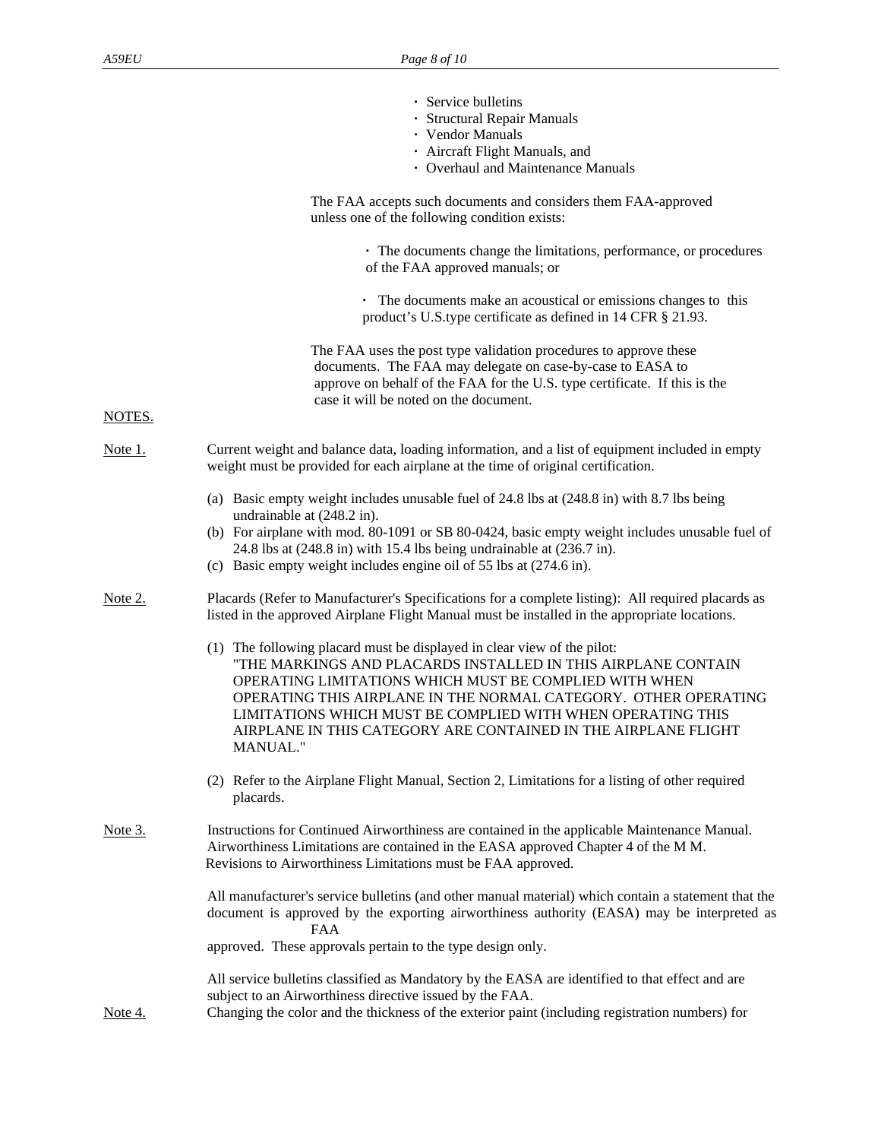|                | · Service bulletins<br>· Structural Repair Manuals<br>• Vendor Manuals<br>· Aircraft Flight Manuals, and<br>• Overhaul and Maintenance Manuals                                                                                                                                                                                                                                                                     |
|----------------|--------------------------------------------------------------------------------------------------------------------------------------------------------------------------------------------------------------------------------------------------------------------------------------------------------------------------------------------------------------------------------------------------------------------|
|                | The FAA accepts such documents and considers them FAA-approved<br>unless one of the following condition exists:                                                                                                                                                                                                                                                                                                    |
|                | • The documents change the limitations, performance, or procedures<br>of the FAA approved manuals; or                                                                                                                                                                                                                                                                                                              |
|                | • The documents make an acoustical or emissions changes to this<br>product's U.S.type certificate as defined in 14 CFR § 21.93.                                                                                                                                                                                                                                                                                    |
|                | The FAA uses the post type validation procedures to approve these<br>documents. The FAA may delegate on case-by-case to EASA to<br>approve on behalf of the FAA for the U.S. type certificate. If this is the<br>case it will be noted on the document.                                                                                                                                                            |
| NOTES.         |                                                                                                                                                                                                                                                                                                                                                                                                                    |
| Note 1.        | Current weight and balance data, loading information, and a list of equipment included in empty<br>weight must be provided for each airplane at the time of original certification.                                                                                                                                                                                                                                |
|                | (a) Basic empty weight includes unusable fuel of 24.8 lbs at (248.8 in) with 8.7 lbs being<br>undrainable at (248.2 in).                                                                                                                                                                                                                                                                                           |
|                | (b) For airplane with mod. 80-1091 or SB 80-0424, basic empty weight includes unusable fuel of<br>24.8 lbs at $(248.8 \text{ in})$ with 15.4 lbs being undrainable at $(236.7 \text{ in})$ .<br>(c) Basic empty weight includes engine oil of 55 lbs at (274.6 in).                                                                                                                                                |
| Note 2.        | Placards (Refer to Manufacturer's Specifications for a complete listing): All required placards as<br>listed in the approved Airplane Flight Manual must be installed in the appropriate locations.                                                                                                                                                                                                                |
|                | (1) The following placard must be displayed in clear view of the pilot:<br>"THE MARKINGS AND PLACARDS INSTALLED IN THIS AIRPLANE CONTAIN<br>OPERATING LIMITATIONS WHICH MUST BE COMPLIED WITH WHEN<br>OPERATING THIS AIRPLANE IN THE NORMAL CATEGORY. OTHER OPERATING<br>LIMITATIONS WHICH MUST BE COMPLIED WITH WHEN OPERATING THIS<br>AIRPLANE IN THIS CATEGORY ARE CONTAINED IN THE AIRPLANE FLIGHT<br>MANUAL." |
|                | (2) Refer to the Airplane Flight Manual, Section 2, Limitations for a listing of other required<br>placards.                                                                                                                                                                                                                                                                                                       |
| <u>Note 3.</u> | Instructions for Continued Airworthiness are contained in the applicable Maintenance Manual.<br>Airworthiness Limitations are contained in the EASA approved Chapter 4 of the M M.<br>Revisions to Airworthiness Limitations must be FAA approved.                                                                                                                                                                 |
|                | All manufacturer's service bulletins (and other manual material) which contain a statement that the<br>document is approved by the exporting airworthiness authority (EASA) may be interpreted as<br><b>FAA</b>                                                                                                                                                                                                    |
|                | approved. These approvals pertain to the type design only.                                                                                                                                                                                                                                                                                                                                                         |
| Note 4.        | All service bulletins classified as Mandatory by the EASA are identified to that effect and are<br>subject to an Airworthiness directive issued by the FAA.<br>Changing the color and the thickness of the exterior paint (including registration numbers) for                                                                                                                                                     |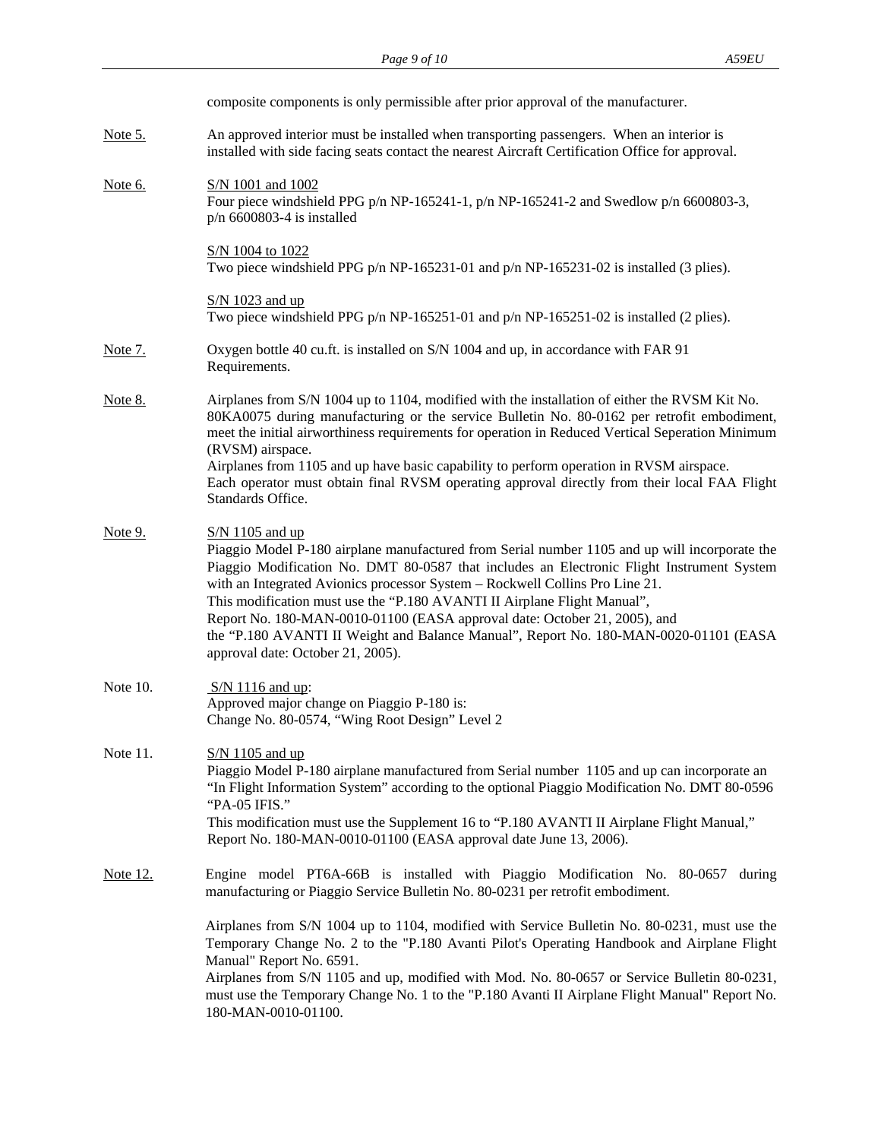|                 | composite components is only permissible after prior approval of the manufacturer.                                                                                                                                                                                                                                                                                                                                                                                                                                                                                                    |
|-----------------|---------------------------------------------------------------------------------------------------------------------------------------------------------------------------------------------------------------------------------------------------------------------------------------------------------------------------------------------------------------------------------------------------------------------------------------------------------------------------------------------------------------------------------------------------------------------------------------|
| <u>Note 5.</u>  | An approved interior must be installed when transporting passengers. When an interior is<br>installed with side facing seats contact the nearest Aircraft Certification Office for approval.                                                                                                                                                                                                                                                                                                                                                                                          |
| Note 6.         | S/N 1001 and 1002<br>Four piece windshield PPG $p/n$ NP-165241-1, $p/n$ NP-165241-2 and Swedlow $p/n$ 6600803-3,<br>$p/n$ 6600803-4 is installed                                                                                                                                                                                                                                                                                                                                                                                                                                      |
|                 | S/N 1004 to 1022<br>Two piece windshield PPG $p/n$ NP-165231-01 and $p/n$ NP-165231-02 is installed (3 plies).                                                                                                                                                                                                                                                                                                                                                                                                                                                                        |
|                 | $S/N$ 1023 and up<br>Two piece windshield PPG $p/n$ NP-165251-01 and $p/n$ NP-165251-02 is installed (2 plies).                                                                                                                                                                                                                                                                                                                                                                                                                                                                       |
| <u>Note 7.</u>  | Oxygen bottle 40 cu.ft. is installed on S/N 1004 and up, in accordance with FAR 91<br>Requirements.                                                                                                                                                                                                                                                                                                                                                                                                                                                                                   |
| <u>Note 8.</u>  | Airplanes from S/N 1004 up to 1104, modified with the installation of either the RVSM Kit No.<br>80KA0075 during manufacturing or the service Bulletin No. 80-0162 per retrofit embodiment,<br>meet the initial airworthiness requirements for operation in Reduced Vertical Seperation Minimum<br>(RVSM) airspace.<br>Airplanes from 1105 and up have basic capability to perform operation in RVSM airspace.<br>Each operator must obtain final RVSM operating approval directly from their local FAA Flight<br>Standards Office.                                                   |
| Note 9.         | $S/N$ 1105 and up<br>Piaggio Model P-180 airplane manufactured from Serial number 1105 and up will incorporate the<br>Piaggio Modification No. DMT 80-0587 that includes an Electronic Flight Instrument System<br>with an Integrated Avionics processor System - Rockwell Collins Pro Line 21.<br>This modification must use the "P.180 AVANTI II Airplane Flight Manual",<br>Report No. 180-MAN-0010-01100 (EASA approval date: October 21, 2005), and<br>the "P.180 AVANTI II Weight and Balance Manual", Report No. 180-MAN-0020-01101 (EASA<br>approval date: October 21, 2005). |
| Note 10.        | S/N 1116 and up:<br>Approved major change on Piaggio P-180 is:<br>Change No. 80-0574, "Wing Root Design" Level 2                                                                                                                                                                                                                                                                                                                                                                                                                                                                      |
| Note 11.        | $S/N$ 1105 and up<br>Piaggio Model P-180 airplane manufactured from Serial number 1105 and up can incorporate an<br>"In Flight Information System" according to the optional Piaggio Modification No. DMT 80-0596<br>"PA-05 IFIS."<br>This modification must use the Supplement 16 to "P.180 AVANTI II Airplane Flight Manual,"<br>Report No. 180-MAN-0010-01100 (EASA approval date June 13, 2006).                                                                                                                                                                                  |
| <u>Note 12.</u> | Engine model PT6A-66B is installed with Piaggio Modification No. 80-0657 during<br>manufacturing or Piaggio Service Bulletin No. 80-0231 per retrofit embodiment.                                                                                                                                                                                                                                                                                                                                                                                                                     |
|                 | Airplanes from S/N 1004 up to 1104, modified with Service Bulletin No. 80-0231, must use the<br>Temporary Change No. 2 to the "P.180 Avanti Pilot's Operating Handbook and Airplane Flight<br>Manual" Report No. 6591.<br>Airplanes from S/N 1105 and up, modified with Mod. No. 80-0657 or Service Bulletin 80-0231,<br>must use the Temporary Change No. 1 to the "P.180 Avanti II Airplane Flight Manual" Report No.<br>180-MAN-0010-01100.                                                                                                                                        |